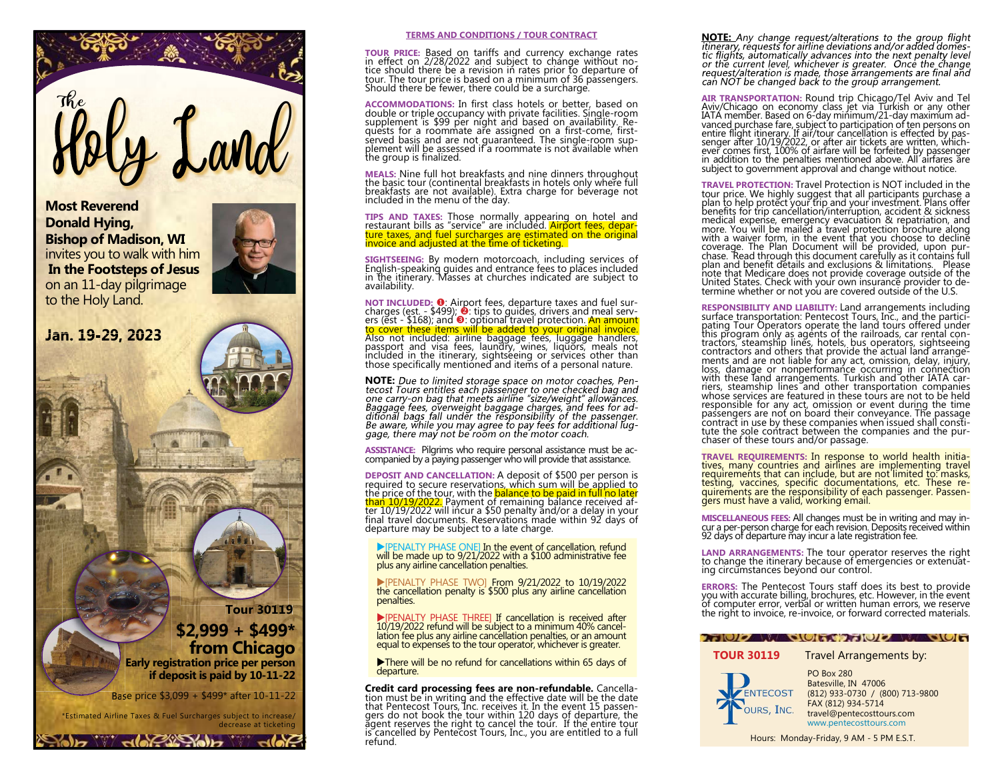

Most Reverend Donald Hying, Bishop of Madison, WI invites you to walk with him In the Footsteps of Jesus on an 11-day pilgrimage to the Holy Land.

Jan. 19-29, 2023



#### TERMS AND CONDITIONS / TOUR CONTRACT

**TOUR PRICE:** Based on tariffs and currency exchange rates<br>in effect on 2/28/2022 and subject to change without no-<br>tice should there be a revision in rates prior to departure of<br>tour. The tour price is based on a minimum Should there be fewer, there could be a surcharge.

plement will be assessed if a roommate is not available when the group is finalized.

MEALS: Nine full hot breakfasts and nine dinners throughout the basic tour (continental breakfasts in hotels only where full breakfasts are not available). Extra charge for beverage not included in the menu of the day.

TIPS AND TAXES: Those normally appearing on hotel and restaurant bills as "service" are included. Airport fees, depar-ture taxes, and fuel surcharges are estimated on the original invoice and adjusted at the time of ticketing.

SIGHTSEEING: By modern motorcoach, including services of English-speaking guides and entrance fees to places included in the itinerary. Masses at churches indicated are subject to availability.

NOT INCLUDED: 0: Airport fees, departure taxes and fuel surcharges (est. - \$499); **O**: tips to guides, drivers and meal servers (est - \$168); and **O**: optional travel protection. An amount to cover these items, will be added to your original invoice. Also not includes, passport an those specifically mentioned and items of a personal nature.

NOTE: Due to limited storage space on motor coaches, Pentecost Tours entitles each passenger to one checked bag and ecost routes entities each passempt to one checked bay and<br>one carry-on bag that meets airline "size/weight" allowances.<br>Baggage fees, overweight baggage charges, and fees for ad-<br>ditional bagga fall under the responsibili

ASSISTANCE: Pilgrims who require personal assistance must be accompanied by a paying passenger who will provide that assistance.

**DEPOSIT AND CANCELLATION:** A deposit of \$500 per person is<br>required to secure reservations, which sum will be applied to<br>the price of the tour, with the <mark>balance to be paid in full no later</mark><br>t<mark>han 10/19/2022.</mark> Payment of final travel documents. Reservations made within 92 days of departure may be subject to a late charge.

[PENALTY PHASE ONE] In the event of cancellation, refund will be made up to 9/21/2022 with a \$100 administrative fee plus any airline cancellation penalties.

[PENALTY PHASE TWO] From 9/21/2022 to 10/19/2022 the cancellation penalty is \$500 plus any airline cancellation penalties.

[PENALTY PHASE THREE] If cancellation is received after 10/19/2022 refund will be subject to a minimum 40% cancellation fee plus any airline cancellation penalties, or an amount equal to expenses to the tour operator, whichever is greater.

There will be no refund for cancellations within 65 days of departure.

Credit card processing fees are non-refundable. Cancellation must be in writing and the effective date will be the date<br>that Pentecost Tours, Inc. receives it. In the event 15 passen-<br>gers do not book the tour within 120 days of departure, the<br>agent reserves the right to cancel is cancelled by Pentecost Tours, Inc., you are entitled to a full refund.

**NOTE:** Any change request/alterations to the group flight<br>itinerary, requests for airline deviations and/or added domes-<br>tic flights, automatically advances into the next penalty level or the current level, whichever is greater. Once the change<br>request/alteration is made, those arrangements are final and can NOT be changed back to the group arrangement.

**AIR TRANSPORTATION:** Round trip Chicago/Tel Aviv and Tel<br>Aviv/Chicago on economy class jet via Turkish or any other<br>IATA member. Based on 6-day minimum/21-day maximum ad-<br>vanced purchase fare, subject to participation of subject to government approval and change without notice.

**TRAVEL PROTECTION:** Travel Protection is NOT included in the tour price. We highly suggest that all participants purchase a plan to help protect your trip and your investment. Plans offer benefits for trip cancellation/i note that Medicare does not provide coverage outside of the United States. Check with your own insurance provider to de-termine whether or not you are covered outside of the U.S.

**RESPONSIBILITY AND LIABILITY:** Land arrangements including<br>surface transportation: Pentecost Tours, Inc., and the partici-<br>pating Tour Operators operate the land tours offered under<br>this program only as agents of the rail whose services are featured in these tours are not to be held responsible for any act, omission or event during the time passengers are not on board their conveyance. The passage contract in use by these companies when issued shall consti-tute the sole contract between the companies and the purchaser of these tours and/or passage.

TRAVEL REQUIREMENTS: In response to world health initia-tives, many countries and airlines are implementing travel requirements that can include, but are not limited to: masks, testing, vaccines, specific documentations, etc. These re-quirements are the responsibility of each passenger. Passen-gers must have a valid, working email.

MISCELLANEOUS FEES: All changes must be in writing and may incur a per-person charge for each revision. Deposits received within 92 days of departure may incur a late registration fee.

LAND ARRANGEMENTS: The tour operator reserves the right to change the itinerary because of emergencies or extenuating circumstances beyond our control.

ERRORS: The Pentecost Tours staff does its best to provide you with accurate billing, brochures, etc. However, in the event of computer error, verbal or written human errors, we reserve the right to invoice, re-invoice, or forward corrected materials.

#### **ANDIZAL QUITA ANDIZA QUES**

### **TOUR 30119** Travel Arrangements by:



travel@pentecosttours.com www.pentecosttours.com PO Box 280 Batesville, IN 47006 (812) 933-0730 / (800) 713-9800 FAX (812) 934-5714

Hours: Monday-Friday, 9 AM - 5 PM E.S.T.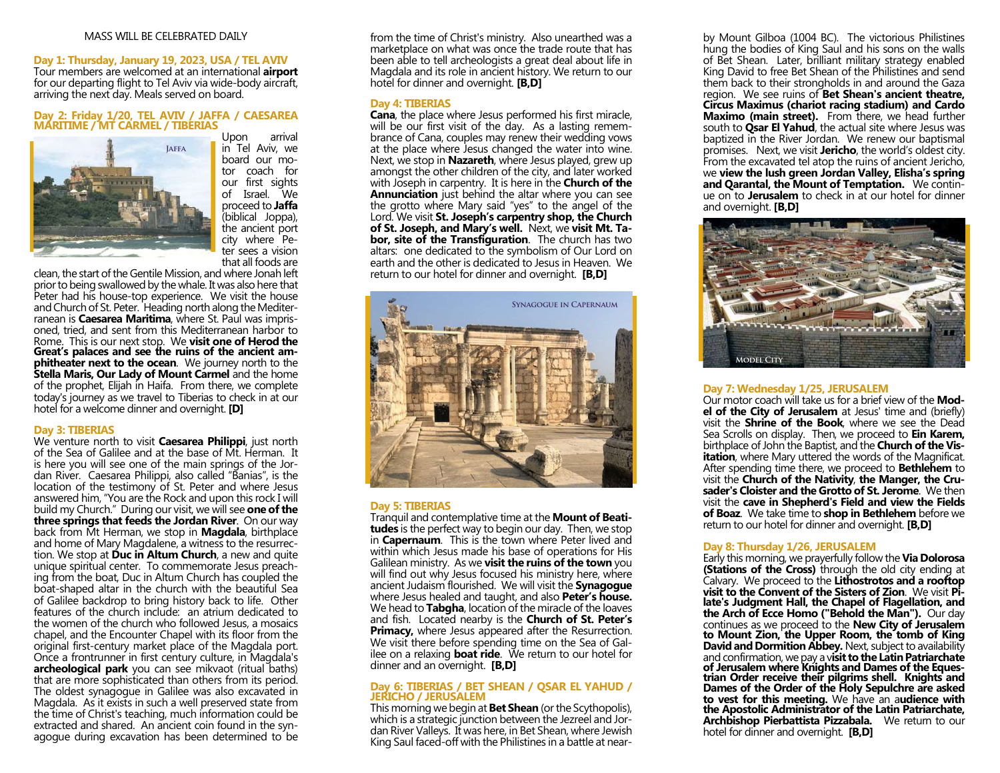# MASS WILL BE CELEBRATED DAILY

# Day 1: Thursday, January 19, 2023, USA / TEL AVIV

Tour members are welcomed at an international **airport** for our departing flight to Tel Aviv via wide-body aircraft, arriving the next day. Meals served on board.

# Day 2: Friday 1/20, TEL AVIV / JAFFA / CAESAREA MARITIME / MT CARMEL / TIBERIAS Upon



in Tel Aviv, we board our motor coach for our first sights of Israel. We proceed to **Jaffa** (biblical Joppa), the ancient port city where Peter sees a vision that all foods are

clean, the start of the Gentile Mission, and where Jonah left prior to being swallowed by the whale. It was also here that Peter had his house-top experience. We visit the house and Church of St. Peter. Heading north along the Mediterranean is **Caesarea Maritima**, where St. Paul was imprisoned, tried, and sent from this Mediterranean harbor to Rome. This is our next stop. We **visit one of Herod the** Great's palaces and see the ruins of the ancient am**phitheater next to the ocean.** We journey north to the Stella Maris, Our Lady of Mount Carmel and the home of the prophet, Elijah in Haifa. From there, we complete today's journey as we travel to Tiberias to check in at our hotel for a welcome dinner and overnight. **[D]** 

#### Day 3: TIBERIAS

We venture north to visit **Caesarea Philippi**, just north of the Sea of Galilee and at the base of Mt. Herman. It is here you will see one of the main springs of the Jordan River. Caesarea Philippi, also called "Banias", is the location of the testimony of St. Peter and where Jesus answered him, "You are the Rock and upon this rock I will build my Church." During our visit, we will see **one of the** three springs that feeds the Jordan River. On our way back from Mt Herman, we stop in **Magdala**, birthplace and home of Mary Magdalene, a witness to the resurrection. We stop at **Duc in Altum Church**, a new and quite unique spiritual center. To commemorate Jesus preaching from the boat, Duc in Altum Church has coupled the boat-shaped altar in the church with the beautiful Sea of Galilee backdrop to bring history back to life. Other features of the church include: an atrium dedicated to the women of the church who followed Jesus, a mosaics chapel, and the Encounter Chapel with its floor from the original first-century market place of the Magdala port. Once a frontrunner in first century culture, in Magdala's **archeological park** you can see mikvaot (ritual baths) that are more sophisticated than others from its period. The oldest synagogue in Galilee was also excavated in Magdala. As it exists in such a well preserved state from the time of Christ's teaching, much information could be extracted and shared. An ancient coin found in the synagogue during excavation has been determined to be from the time of Christ's ministry. Also unearthed was a marketplace on what was once the trade route that has been able to tell archeologists a great deal about life in Magdala and its role in ancient history. We return to our hotel for dinner and overnight. **[B,D]** 

# Day 4: TIBERIAS

Cana, the place where Jesus performed his first miracle, will be our first visit of the day. As a lasting remembrance of Cana, couples may renew their wedding vows at the place where Jesus changed the water into wine. Next, we stop in **Nazareth**, where Jesus played, grew up amongst the other children of the city, and later worked with Joseph in carpentry. It is here in the **Church of the** Annunciation just behind the altar where you can see the grotto where Mary said "yes" to the angel of the Lord. We visit St. Joseph's carpentry shop, the Church of St. Joseph, and Mary's well. Next, we visit Mt. Ta**bor, site of the Transfiguration.** The church has two altars: one dedicated to the symbolism of Our Lord on earth and the other is dedicated to Jesus in Heaven. We return to our hotel for dinner and overnight. **[B,D]** 



#### Day 5: TIBERIAS

Tranquil and contemplative time at the **Mount of Beati**tudes is the perfect way to begin our day. Then, we stop in **Capernaum**. This is the town where Peter lived and within which Jesus made his base of operations for His Galilean ministry. As we **visit the ruins of the town** you will find out why Jesus focused his ministry here, where ancient Judaism flourished. We will visit the **Synagogue** where Jesus healed and taught, and also **Peter's house.** We head to **Tabgha**, location of the miracle of the loaves and fish. Located nearby is the Church of St. Peter's **Primacy,** where Jesus appeared after the Resurrection. We visit there before spending time on the Sea of Galilee on a relaxing **boat ride**. We return to our hotel for dinner and an overnight. **[B,D]** 

#### Day 6: TIBERIAS / BET SHEAN / QSAR EL YAHUD / JERICHO / JERUSALEM

This morning we begin at **Bet Shean** (or the Scythopolis), which is a strategic junction between the Jezreel and Jordan River Valleys. It was here, in Bet Shean, where Jewish King Saul faced-off with the Philistines in a battle at near-

by Mount Gilboa (1004 BC). The victorious Philistines hung the bodies of King Saul and his sons on the walls of Bet Shean. Later, brilliant military strategy enabled King David to free Bet Shean of the Philistines and send them back to their strongholds in and around the Gaza region. We see ruins of **Bet Shean's ancient theatre.** Circus Maximus (chariot racing stadium) and Cardo **Maximo (main street).** From there, we head further south to **Qsar El Yahud**, the actual site where Jesus was baptized in the River Jordan. We renew our baptismal promises. Next, we visit **Jericho**, the world's oldest city. From the excavated tel atop the ruins of ancient Jericho, we view the lush green Jordan Valley, Elisha's spring and Qarantal, the Mount of Temptation. We continue on to **Jerusalem** to check in at our hotel for dinner and overnight. [B,D]



#### Day 7: Wednesday 1/25, JERUSALEM

Our motor coach will take us for a brief view of the **Mod**el of the City of Jerusalem at Jesus' time and (briefly) visit the **Shrine of the Book**, where we see the Dead Sea Scrolls on display. Then, we proceed to Ein Karem, birthplace of John the Baptist, and the **Church of the Vis**itation, where Mary uttered the words of the Magnificat. After spending time there, we proceed to **Bethlehem** to visit the Church of the Nativity, the Manger, the Crusader's Cloister and the Grotto of St. Jerome. We then visit the cave in Shepherd's Field and view the Fields of Boaz. We take time to shop in Bethlehem before we return to our hotel for dinner and overnight. [B,D]

# Day 8: Thursday 1/26, JERUSALEM

Early this morning, we prayerfully follow the Via Dolorosa **(Stations of the Cross)** through the old city ending at Calvary. We proceed to the Lithostrotos and a rooftop visit to the Convent of the Sisters of Zion. We visit Pilate's Judgment Hall, the Chapel of Flagellation, and the Arch of Ecce Homo ("Behold the Man"). Our day continues as we proceed to the **New City of Jerusalem** to Mount Zion, the Upper Room, the tomb of King David and Dormition Abbey. Next, subject to availability and confirmation, we pay a visit to the Latin Patriarchate of Jerusalem where Knights and Dames of the Equestrian Order receive their pilgrims shell. Knights and Dames of the Order of the Holy Sepulchre are asked to vest for this meeting. We have an audience with the Apostolic Administrator of the Latin Patriarchate, Archbishop Pierbattista Pizzabala. We return to our hotel for dinner and overnight. **[B,D]**